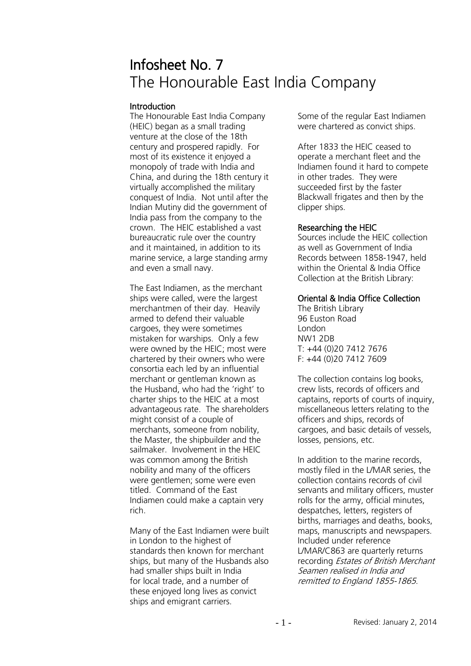# Infosheet No. 7 The Honourable East India Company

## **Introduction**

The Honourable East India Company (HEIC) began as a small trading venture at the close of the 18th century and prospered rapidly. For most of its existence it enjoyed a monopoly of trade with India and China, and during the 18th century it virtually accomplished the military conquest of India. Not until after the Indian Mutiny did the government of India pass from the company to the crown. The HEIC established a vast bureaucratic rule over the country and it maintained, in addition to its marine service, a large standing army and even a small navy.

The East Indiamen, as the merchant ships were called, were the largest merchantmen of their day. Heavily armed to defend their valuable cargoes, they were sometimes mistaken for warships. Only a few were owned by the HEIC; most were chartered by their owners who were consortia each led by an influential merchant or gentleman known as the Husband, who had the 'right' to charter ships to the HEIC at a most advantageous rate. The shareholders might consist of a couple of merchants, someone from nobility, the Master, the shipbuilder and the sailmaker. Involvement in the HEIC was common among the British nobility and many of the officers were gentlemen; some were even titled. Command of the East Indiamen could make a captain very rich.

Many of the East Indiamen were built in London to the highest of standards then known for merchant ships, but many of the Husbands also had smaller ships built in India for local trade, and a number of these enjoyed long lives as convict ships and emigrant carriers.

Some of the regular East Indiamen were chartered as convict ships.

After 1833 the HEIC ceased to operate a merchant fleet and the Indiamen found it hard to compete in other trades. They were succeeded first by the faster Blackwall frigates and then by the clipper ships.

# Researching the HEIC

Sources include the HEIC collection as well as Government of India Records between 1858-1947, held within the Oriental & India Office Collection at the British Library:

# Oriental & India Office Collection

The British Library 96 Euston Road London NW1 2DB T: +44 (0)20 7412 7676 F: +44 (0)20 7412 7609

The collection contains log books, crew lists, records of officers and captains, reports of courts of inquiry, miscellaneous letters relating to the officers and ships, records of cargoes, and basic details of vessels, losses, pensions, etc.

In addition to the marine records, mostly filed in the L/MAR series, the collection contains records of civil servants and military officers, muster rolls for the army, official minutes, despatches, letters, registers of births, marriages and deaths, books, maps, manuscripts and newspapers. Included under reference L/MAR/C863 are quarterly returns recording Estates of British Merchant Seamen realised in India and remitted to England 1855-1865.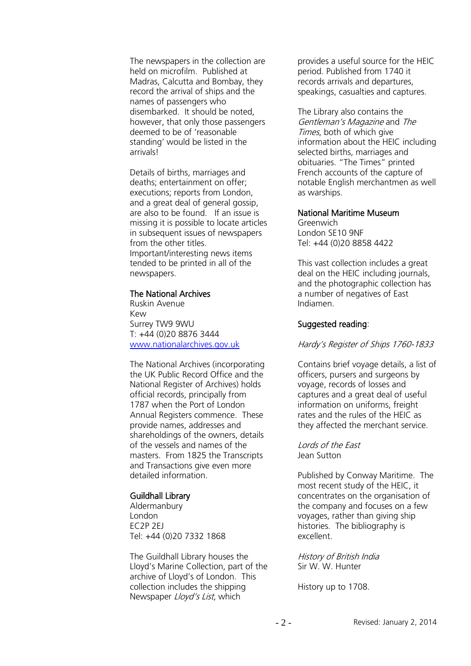The newspapers in the collection are held on microfilm. Published at Madras, Calcutta and Bombay, they record the arrival of ships and the names of passengers who disembarked. It should be noted, however, that only those passengers deemed to be of 'reasonable standing' would be listed in the arrivals!

Details of births, marriages and deaths; entertainment on offer; executions; reports from London, and a great deal of general gossip, are also to be found. If an issue is missing it is possible to locate articles in subsequent issues of newspapers from the other titles. Important/interesting news items tended to be printed in all of the newspapers.

#### The National Archives

Ruskin Avenue Kew Surrey TW9 9WU T: +44 (0)20 8876 3444 [www.nationalarchives.gov.uk](http://www.nationalarchives.gov.uk/)

The National Archives (incorporating the UK Public Record Office and the National Register of Archives) holds official records, principally from 1787 when the Port of London Annual Registers commence. These provide names, addresses and shareholdings of the owners, details of the vessels and names of the masters. From 1825 the Transcripts and Transactions give even more detailed information.

## Guildhall Library

Aldermanbury London EC2P 2EJ Tel: +44 (0)20 7332 1868

The Guildhall Library houses the Lloyd's Marine Collection, part of the archive of Lloyd's of London. This collection includes the shipping Newspaper *Lloyd's List*, which

provides a useful source for the HEIC period. Published from 1740 it records arrivals and departures, speakings, casualties and captures.

The Library also contains the Gentleman's Magazine and The Times, both of which give information about the HEIC including selected births, marriages and obituaries. "The Times" printed French accounts of the capture of notable English merchantmen as well as warships.

#### National Maritime Museum

Greenwich London SE10 9NF Tel: +44 (0)20 8858 4422

This vast collection includes a great deal on the HEIC including journals, and the photographic collection has a number of negatives of East Indiamen.

## Suggested reading:

## Hardy's Register of Ships 1760-1833

Contains brief voyage details, a list of officers, pursers and surgeons by voyage, records of losses and captures and a great deal of useful information on uniforms, freight rates and the rules of the HEIC as they affected the merchant service.

Lords of the East Jean Sutton

Published by Conway Maritime. The most recent study of the HEIC, it concentrates on the organisation of the company and focuses on a few voyages, rather than giving ship histories. The bibliography is excellent.

History of British India Sir W. W. Hunter

History up to 1708.